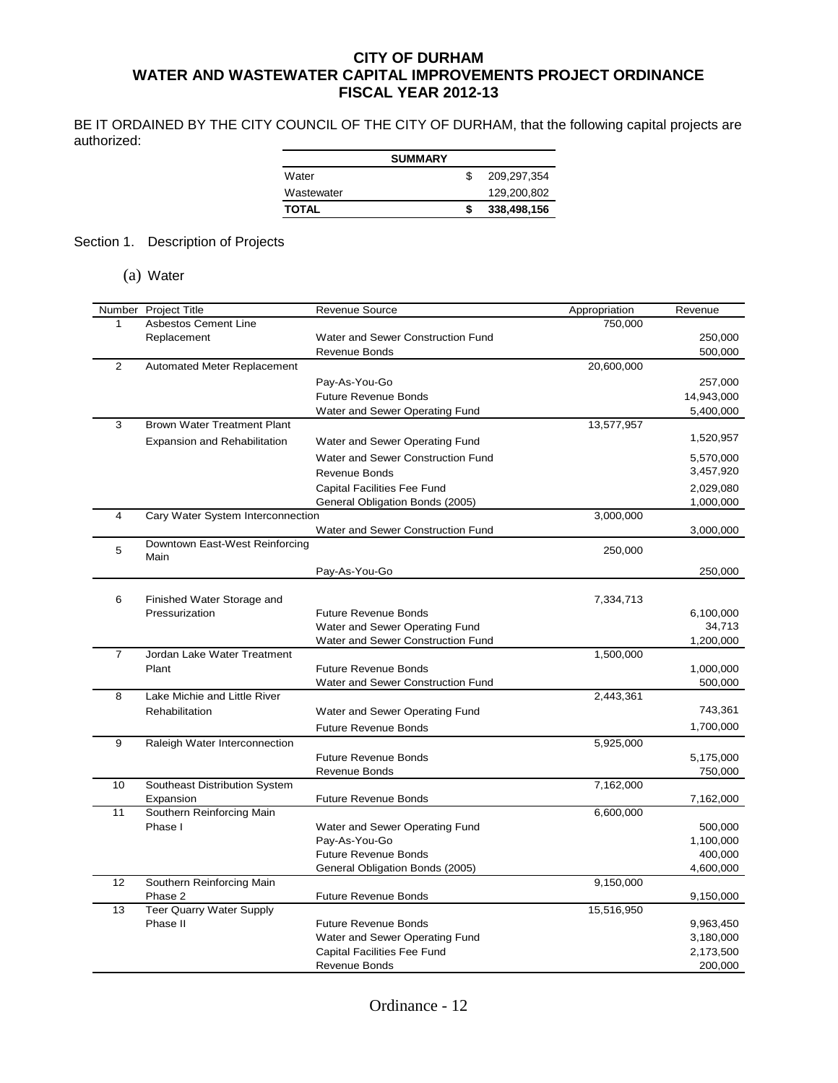## **CITY OF DURHAM WATER AND WASTEWATER CAPITAL IMPROVEMENTS PROJECT ORDINANCE FISCAL YEAR 2012-13**

BE IT ORDAINED BY THE CITY COUNCIL OF THE CITY OF DURHAM, that the following capital projects are authorized:

|              | <b>SUMMARY</b> |             |
|--------------|----------------|-------------|
| Water        |                | 209.297.354 |
| Wastewater   |                | 129,200,802 |
| <b>TOTAL</b> |                | 338,498,156 |

## Section 1. Description of Projects

(a) Water

|                | Number Project Title               | Revenue Source                     | Appropriation | Revenue    |
|----------------|------------------------------------|------------------------------------|---------------|------------|
| 1              | <b>Asbestos Cement Line</b>        |                                    | 750,000       |            |
|                | Replacement                        | Water and Sewer Construction Fund  |               | 250,000    |
|                |                                    | Revenue Bonds                      |               | 500,000    |
| $\overline{2}$ | Automated Meter Replacement        |                                    | 20,600,000    |            |
|                |                                    | Pay-As-You-Go                      |               | 257,000    |
|                |                                    | <b>Future Revenue Bonds</b>        |               | 14,943,000 |
|                |                                    | Water and Sewer Operating Fund     |               | 5,400,000  |
| 3              | <b>Brown Water Treatment Plant</b> |                                    | 13,577,957    |            |
|                | Expansion and Rehabilitation       | Water and Sewer Operating Fund     |               | 1,520,957  |
|                |                                    | Water and Sewer Construction Fund  |               | 5,570,000  |
|                |                                    | <b>Revenue Bonds</b>               |               | 3,457,920  |
|                |                                    | <b>Capital Facilities Fee Fund</b> |               | 2,029,080  |
|                |                                    | General Obligation Bonds (2005)    |               | 1,000,000  |
| 4              | Cary Water System Interconnection  |                                    | 3,000,000     |            |
|                |                                    | Water and Sewer Construction Fund  |               | 3,000,000  |
| 5              | Downtown East-West Reinforcing     |                                    | 250,000       |            |
|                | Main                               |                                    |               |            |
|                |                                    | Pay-As-You-Go                      |               | 250,000    |
|                |                                    |                                    |               |            |
| 6              | Finished Water Storage and         |                                    | 7,334,713     |            |
|                | Pressurization                     | <b>Future Revenue Bonds</b>        |               | 6,100,000  |
|                |                                    | Water and Sewer Operating Fund     |               | 34,713     |
| $\overline{7}$ | Jordan Lake Water Treatment        | Water and Sewer Construction Fund  | 1,500,000     | 1,200,000  |
|                | Plant                              | <b>Future Revenue Bonds</b>        |               | 1,000,000  |
|                |                                    | Water and Sewer Construction Fund  |               | 500,000    |
| 8              | Lake Michie and Little River       |                                    | 2,443,361     |            |
|                | Rehabilitation                     | Water and Sewer Operating Fund     |               | 743,361    |
|                |                                    | <b>Future Revenue Bonds</b>        |               | 1,700,000  |
| 9              |                                    |                                    | 5,925,000     |            |
|                | Raleigh Water Interconnection      | <b>Future Revenue Bonds</b>        |               | 5,175,000  |
|                |                                    | Revenue Bonds                      |               | 750,000    |
| 10             | Southeast Distribution System      |                                    | 7,162,000     |            |
|                | Expansion                          | <b>Future Revenue Bonds</b>        |               | 7,162,000  |
| 11             | Southern Reinforcing Main          |                                    | 6,600,000     |            |
|                | Phase I                            | Water and Sewer Operating Fund     |               | 500,000    |
|                |                                    | Pay-As-You-Go                      |               | 1,100,000  |
|                |                                    | <b>Future Revenue Bonds</b>        |               | 400,000    |
|                |                                    | General Obligation Bonds (2005)    |               | 4,600,000  |
| 12             | Southern Reinforcing Main          |                                    | 9,150,000     |            |
|                | Phase 2                            | <b>Future Revenue Bonds</b>        |               | 9,150,000  |
| 13             | <b>Teer Quarry Water Supply</b>    |                                    | 15,516,950    |            |
|                | Phase II                           | <b>Future Revenue Bonds</b>        |               | 9,963,450  |
|                |                                    | Water and Sewer Operating Fund     |               | 3,180,000  |
|                |                                    | <b>Capital Facilities Fee Fund</b> |               | 2,173,500  |
|                |                                    | Revenue Bonds                      |               | 200,000    |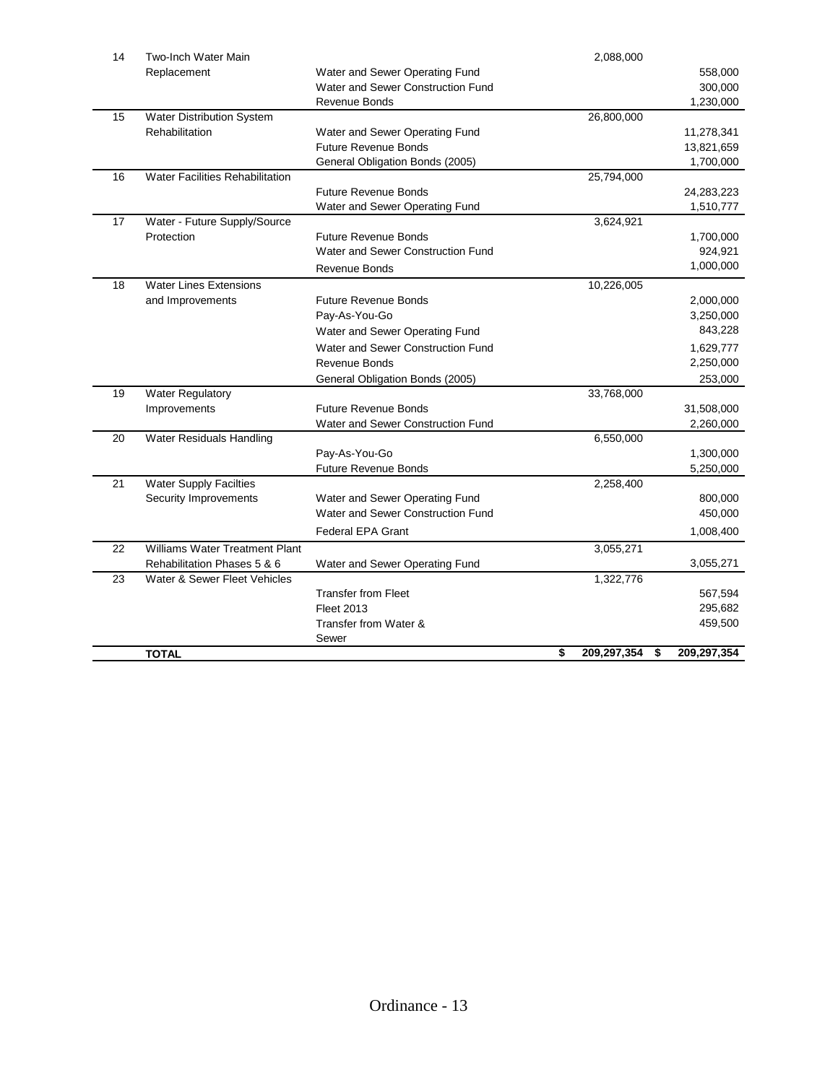| 14 | Two-Inch Water Main             |                                   | 2,088,000         |                   |
|----|---------------------------------|-----------------------------------|-------------------|-------------------|
|    | Replacement                     | Water and Sewer Operating Fund    |                   | 558,000           |
|    |                                 | Water and Sewer Construction Fund |                   | 300,000           |
|    |                                 | Revenue Bonds                     |                   | 1,230,000         |
| 15 | Water Distribution System       |                                   | 26,800,000        |                   |
|    | Rehabilitation                  | Water and Sewer Operating Fund    |                   | 11,278,341        |
|    |                                 | <b>Future Revenue Bonds</b>       |                   | 13,821,659        |
|    |                                 | General Obligation Bonds (2005)   |                   | 1,700,000         |
| 16 | Water Facilities Rehabilitation |                                   | 25,794,000        |                   |
|    |                                 | <b>Future Revenue Bonds</b>       |                   | 24,283,223        |
|    |                                 | Water and Sewer Operating Fund    |                   | 1,510,777         |
| 17 | Water - Future Supply/Source    |                                   | 3,624,921         |                   |
|    | Protection                      | <b>Future Revenue Bonds</b>       |                   | 1,700,000         |
|    |                                 | Water and Sewer Construction Fund |                   | 924,921           |
|    |                                 | <b>Revenue Bonds</b>              |                   | 1,000,000         |
| 18 | <b>Water Lines Extensions</b>   |                                   | 10,226,005        |                   |
|    | and Improvements                | <b>Future Revenue Bonds</b>       |                   | 2,000,000         |
|    |                                 | Pay-As-You-Go                     |                   | 3,250,000         |
|    |                                 | Water and Sewer Operating Fund    |                   | 843,228           |
|    |                                 | Water and Sewer Construction Fund |                   | 1,629,777         |
|    |                                 | Revenue Bonds                     |                   | 2,250,000         |
|    |                                 | General Obligation Bonds (2005)   |                   | 253,000           |
| 19 | <b>Water Regulatory</b>         |                                   | 33,768,000        |                   |
|    | Improvements                    | <b>Future Revenue Bonds</b>       |                   | 31,508,000        |
|    |                                 | Water and Sewer Construction Fund |                   | 2,260,000         |
| 20 | Water Residuals Handling        |                                   | 6,550,000         |                   |
|    |                                 | Pay-As-You-Go                     |                   | 1,300,000         |
|    |                                 | <b>Future Revenue Bonds</b>       |                   | 5,250,000         |
| 21 | <b>Water Supply Facilties</b>   |                                   | 2,258,400         |                   |
|    | Security Improvements           | Water and Sewer Operating Fund    |                   | 800,000           |
|    |                                 | Water and Sewer Construction Fund |                   | 450,000           |
|    |                                 | <b>Federal EPA Grant</b>          |                   | 1,008,400         |
| 22 | Williams Water Treatment Plant  |                                   | 3,055,271         |                   |
|    | Rehabilitation Phases 5 & 6     | Water and Sewer Operating Fund    |                   | 3,055,271         |
| 23 | Water & Sewer Fleet Vehicles    |                                   | 1,322,776         |                   |
|    |                                 | <b>Transfer from Fleet</b>        |                   | 567,594           |
|    |                                 | <b>Fleet 2013</b>                 |                   | 295,682           |
|    |                                 | Transfer from Water &             |                   | 459,500           |
|    |                                 | Sewer                             |                   |                   |
|    | TOTAL                           |                                   | \$<br>209,297,354 | \$<br>209,297,354 |